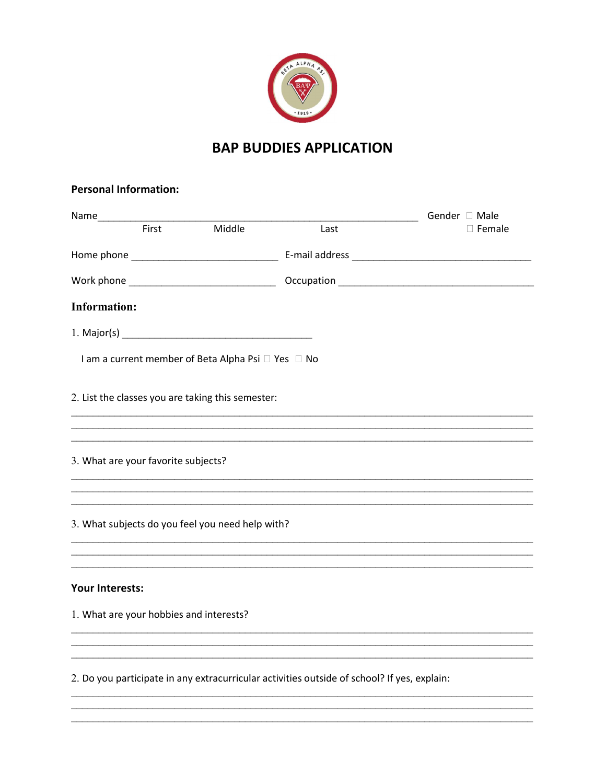

## **BAP BUDDIES APPLICATION**

 $\Box$  Female

| <b>Personal Information:</b>            |       |                                                    |                                                                                  |                              |
|-----------------------------------------|-------|----------------------------------------------------|----------------------------------------------------------------------------------|------------------------------|
|                                         | First | Middle                                             | Last                                                                             | Gender □ Male<br>$\Box$ Fema |
|                                         |       |                                                    |                                                                                  |                              |
|                                         |       |                                                    |                                                                                  |                              |
| <b>Information:</b>                     |       |                                                    |                                                                                  |                              |
|                                         |       |                                                    |                                                                                  |                              |
|                                         |       | I am a current member of Beta Alpha Psi □ Yes □ No |                                                                                  |                              |
|                                         |       | 2. List the classes you are taking this semester:  | ,我们也不能在这里的时候,我们也不能在这里的时候,我们也不能会在这里的时候,我们也不能会在这里的时候,我们也不能会在这里的时候,我们也不能会在这里的时候,我们也 |                              |
|                                         |       |                                                    |                                                                                  |                              |
| 3. What are your favorite subjects?     |       |                                                    |                                                                                  |                              |
|                                         |       |                                                    |                                                                                  |                              |
|                                         |       | 3. What subjects do you feel you need help with?   |                                                                                  |                              |
|                                         |       |                                                    | ,我们也不能在这里的人,我们也不能在这里的人,我们也不能不能不能不能不能不能不能不能不能不能不能。""我们的人,我们也不能不能不能不能不能不能不能不能不能不能不 |                              |
| <b>Your Interests:</b>                  |       |                                                    |                                                                                  |                              |
| 1. What are your hobbies and interests? |       |                                                    |                                                                                  |                              |

2. Do you participate in any extracurricular activities outside of school? If yes, explain: